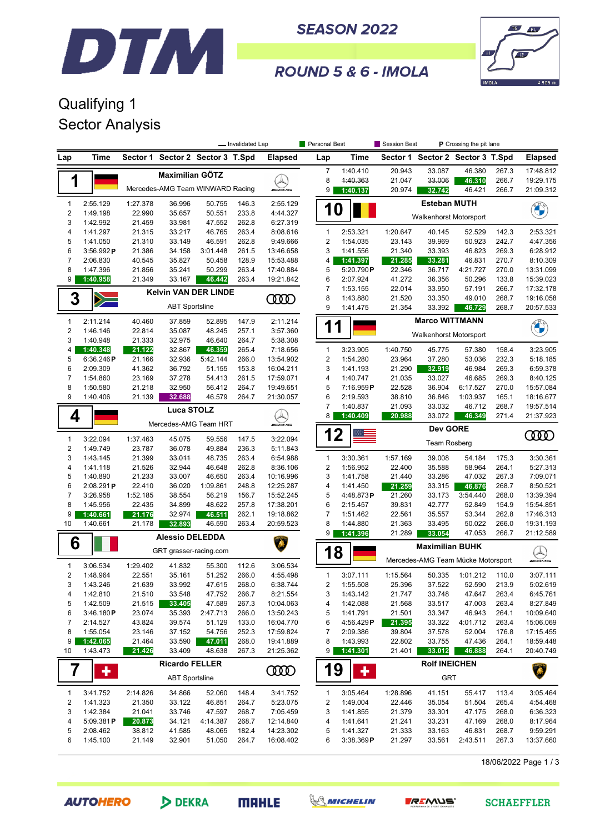

**SEASON 2022** 



## ROUND 5 & 6 - IMOLA

## Qualifying 1 Sector Analysis

|                     |                       |                    |                        |                                  | - Invalidated Lap |                         | Personal Best                |                      | P Crossing the pit lane<br>Session Best |                               |                                    |                |                          |  |
|---------------------|-----------------------|--------------------|------------------------|----------------------------------|-------------------|-------------------------|------------------------------|----------------------|-----------------------------------------|-------------------------------|------------------------------------|----------------|--------------------------|--|
| Lap                 | Time                  |                    |                        | Sector 1 Sector 2 Sector 3 T.Spd |                   | <b>Elapsed</b>          | Lap                          | Time                 |                                         |                               | Sector 1 Sector 2 Sector 3 T.Spd   |                | <b>Elapsed</b>           |  |
|                     |                       |                    | <b>Maximilian GÖTZ</b> |                                  |                   |                         | $\overline{7}$               | 1:40.410             | 20.943                                  | 33.087                        | 46.380                             | 267.3          | 17:48.812                |  |
| 1                   |                       |                    |                        |                                  |                   |                         | 8                            | 1:40.363             | 21.047                                  | 33.006                        | 46.310                             | 266.7          | 19:29.175                |  |
|                     |                       |                    |                        | Mercedes-AMG Team WINWARD Racing |                   | WAMS                    | 9                            | 1:40.137             | 20.974                                  | 32.742                        | 46.421                             | 266.7          | 21:09.312                |  |
| 1                   | 2:55.129              | 1:27.378           | 36.996                 | 50.755                           | 146.3             | 2:55.129                |                              |                      |                                         | <b>Esteban MUTH</b>           |                                    |                |                          |  |
| $\overline{c}$      | 1:49.198              | 22.990             | 35.657                 | 50.551                           | 233.8             | 4:44.327                | <b>10</b>                    |                      |                                         | <b>Walkenhorst Motorsport</b> |                                    |                | <b>ONE</b>               |  |
| 3                   | 1:42.992              | 21.459             | 33.981                 | 47.552                           | 262.8             | 6:27.319                |                              |                      |                                         |                               |                                    |                |                          |  |
| 4                   | 1:41.297              | 21.315             | 33.217                 | 46.765                           | 263.4             | 8:08.616                | $\mathbf{1}$                 | 2:53.321             | 1:20.647                                | 40.145                        | 52.529                             | 142.3          | 2:53.321                 |  |
| 5                   | 1:41.050              | 21.310             | 33.149                 | 46.591                           | 262.8             | 9:49.666                | $\overline{2}$<br>3          | 1:54.035             | 23.143                                  | 39.969                        | 50.923                             | 242.7          | 4:47.356                 |  |
| 6<br>7              | 3:56.992P<br>2:06.830 | 21.386<br>40.545   | 34.158<br>35.827       | 3:01.448<br>50.458               | 261.5<br>128.9    | 13:46.658<br>15:53.488  | 4                            | 1:41.556<br>1:41.397 | 21.340                                  | 33.393                        | 46.823<br>46.831                   | 269.3<br>270.7 | 6:28.912<br>8:10.309     |  |
| 8                   | 1:47.396              | 21.856             | 35.241                 | 50.299                           | 263.4             | 17:40.884               | 5                            | 5:20.790P            | 21.285<br>22.346                        | 33.281<br>36.717              | 4:21.727                           | 270.0          | 13:31.099                |  |
| 9                   | 1:40.958              | 21.349             | 33.167                 | 46.442                           | 263.4             | 19:21.842               | 6                            | 2:07.924             | 41.272                                  | 36.356                        | 50.296                             | 133.8          | 15:39.023                |  |
|                     |                       |                    |                        |                                  |                   |                         | $\overline{7}$               | 1:53.155             | 22.014                                  | 33.950                        | 57.191                             | 266.7          | 17:32.178                |  |
| 3                   | $\sum_{i=1}^{n}$      |                    |                        | <b>Kelvin VAN DER LINDE</b>      |                   | 0000                    | 8                            | 1:43.880             | 21.520                                  | 33.350                        | 49.010                             | 268.7          | 19:16.058                |  |
|                     |                       |                    | <b>ABT Sportsline</b>  |                                  |                   |                         | 9                            | 1:41.475             | 21.354                                  | 33.392                        | 46.729                             | 268.7          | 20:57.533                |  |
| 1                   | 2:11.214              | 40.460             | 37.859                 | 52.895                           | 147.9             | 2:11.214                |                              |                      |                                         | <b>Marco WITTMANN</b>         |                                    |                |                          |  |
| 2                   | 1:46.146              | 22.814             | 35.087                 | 48.245                           | 257.1             | 3:57.360                | 1                            | 1                    |                                         |                               |                                    |                | <b>CHA</b>               |  |
| 3                   | 1:40.948              | 21.333             | 32.975                 | 46.640                           | 264.7             | 5:38.308                |                              |                      |                                         | <b>Walkenhorst Motorsport</b> |                                    |                |                          |  |
| 4                   | 1:40.348              | 21.122             | 32.867                 | 46.359                           | 265.4             | 7:18.656                | $\mathbf{1}$                 | 3:23.905             | 1:40.750                                | 45.775                        | 57.380                             | 158.4          | 3:23.905                 |  |
| 5                   | 6:36.246P             | 21.166             | 32.936                 | 5:42.144                         | 266.0             | 13:54.902               | $\overline{2}$               | 1:54.280             | 23.964                                  | 37.280                        | 53.036                             | 232.3          | 5:18.185                 |  |
| 6                   | 2:09.309              | 41.362             | 36.792                 | 51.155                           | 153.8             | 16:04.211               | 3                            | 1:41.193             | 21.290                                  | 32.919                        | 46.984                             | 269.3          | 6:59.378                 |  |
| 7                   | 1:54.860              | 23.169             | 37.278                 | 54.413                           | 261.5             | 17:59.071               | 4                            | 1:40.747             | 21.035                                  | 33.027                        | 46.685                             | 269.3          | 8:40.125                 |  |
| 8                   | 1:50.580              | 21.218             | 32.950                 | 56.412                           | 264.7             | 19:49.651               | 5                            | 7:16.959P            | 22.528                                  | 36.904                        | 6:17.527                           | 270.0          | 15:57.084                |  |
| 9                   | 1:40.406              | 21.139             | 32.688                 | 46.579                           | 264.7             | 21:30.057               | 6<br>$\overline{7}$          | 2:19.593             | 38.810                                  | 36.846                        | 1:03.937                           | 165.1          | 18:16.677                |  |
|                     |                       |                    | <b>Luca STOLZ</b>      |                                  |                   |                         | 8                            | 1:40.837<br>1:40.409 | 21.093<br>20.988                        | 33.032<br>33.072              | 46.712<br>46.349                   | 268.7<br>271.4 | 19:57.514<br>21:37.923   |  |
| 4                   |                       |                    |                        | Mercedes-AMG Team HRT            |                   | <i><b>INNERVIEW</b></i> |                              |                      |                                         |                               |                                    |                |                          |  |
|                     |                       |                    |                        |                                  |                   |                         | 12                           |                      |                                         | <b>Dev GORE</b>               |                                    |                | ഝ                        |  |
| 1<br>$\overline{2}$ | 3:22.094<br>1:49.749  | 1:37.463<br>23.787 | 45.075<br>36.078       | 59.556<br>49.884                 | 147.5<br>236.3    | 3:22.094<br>5:11.843    |                              |                      |                                         | <b>Team Rosberg</b>           |                                    |                |                          |  |
| 3                   | 4:43.145              | 21.399             | 33.011                 | 48.735                           | 263.4             | 6:54.988                | $\mathbf{1}$                 | 3:30.361             | 1:57.169                                | 39.008                        | 54.184                             | 175.3          | 3:30.361                 |  |
| 4                   | 1:41.118              | 21.526             | 32.944                 | 46.648                           | 262.8             | 8:36.106                | $\overline{2}$               | 1:56.952             | 22.400                                  | 35.588                        | 58.964                             | 264.1          | 5:27.313                 |  |
| 5                   | 1:40.890              | 21.233             | 33.007                 | 46.650                           | 263.4             | 10:16.996               | 3                            | 1:41.758             | 21.440                                  | 33.286                        | 47.032                             | 267.3          | 7:09.071                 |  |
| 6                   | 2:08.291P             | 22.410             | 36.020                 | 1:09.861                         | 248.8             | 12:25.287               | 4                            | 1:41.450             | 21.259                                  | 33.315                        | 46.876                             | 268.7          | 8:50.521                 |  |
| 7                   | 3:26.958              | 1:52.185           | 38.554                 | 56.219                           | 156.7             | 15:52.245               | 5                            | 4:48.873P            | 21.260                                  | 33.173                        | 3:54.440                           | 268.0          | 13:39.394                |  |
| 8                   | 1:45.956              | 22.435             | 34.899                 | 48.622                           | 257.8             | 17:38.201               | 6                            | 2:15.457             | 39.831                                  | 42.777                        | 52.849                             | 154.9          | 15:54.851                |  |
| 9                   | 1:40.661              | 21.176             | 32.974                 | 46.511                           | 262.1             | 19:18.862               | 7                            | 1:51.462             | 22.561                                  | 35.557                        | 53.344                             | 262.8          | 17:46.313                |  |
| 10                  | 1:40.661              | 21.178             | 32.893                 | 46.590                           | 263.4             | 20:59.523               | 8                            | 1:44.880             | 21.363                                  | 33.495                        | 50.022                             | 266.0          | 19:31.193                |  |
|                     |                       |                    | <b>Alessio DELEDDA</b> |                                  |                   |                         | 9                            | 1:41.396             | 21.289                                  | 33.054                        | 47.053                             | 266.7          | 21:12.589                |  |
| 6                   |                       |                    | GRT grasser-racing.com |                                  |                   |                         | <b>Maximilian BUHK</b><br>18 |                      |                                         |                               |                                    |                |                          |  |
|                     |                       |                    |                        |                                  |                   |                         |                              |                      |                                         |                               | Mercedes-AMG Team Mücke Motorsport |                | $\bigotimes_{m\equiv m}$ |  |
| 1                   | 3:06.534              | 1:29.402           | 41.832                 | 55.300                           | 112.6             | 3:06.534                |                              |                      |                                         |                               |                                    |                |                          |  |
| 2<br>3              | 1:48.964<br>1:43.246  | 22.551<br>21.639   | 35.161<br>33.992       | 51.252<br>47.615                 | 266.0<br>268.0    | 4:55.498<br>6:38.744    | $\mathbf{1}$<br>2            | 3:07.111<br>1:55.508 | 1:15.564<br>25.396                      | 50.335<br>37.522              | 1:01.212<br>52.590                 | 110.0<br>213.9 | 3:07.111<br>5:02.619     |  |
| 4                   | 1:42.810              | 21.510             | 33.548                 | 47.752                           | 266.7             | 8:21.554                | 3                            | 1:43.142             | 21.747                                  | 33.748                        | 47.647                             | 263.4          | 6:45.761                 |  |
| 5                   | 1:42.509              | 21.515             | 33.405                 | 47.589                           | 267.3             | 10:04.063               | 4                            | 1:42.088             | 21.568                                  | 33.517                        | 47.003                             | 263.4          | 8:27.849                 |  |
| 6                   | 3:46.180P             | 23.074             | 35.393                 | 2:47.713                         | 266.0             | 13:50.243               | 5                            | 1:41.791             | 21.501                                  | 33.347                        | 46.943                             | 264.1          | 10:09.640                |  |
| 7                   | 2:14.527              | 43.824             | 39.574                 | 51.129                           | 133.0             | 16:04.770               | 6                            | 4:56.429P            | 21.395                                  | 33.322                        | 4:01.712                           | 263.4          | 15:06.069                |  |
| 8                   | 1:55.054              | 23.146             | 37.152                 | 54.756                           | 252.3             | 17:59.824               | 7                            | 2:09.386             | 39.804                                  | 37.578                        | 52.004                             | 176.8          | 17:15.455                |  |
| 9                   | 1:42.065              | 21.464             | 33.590                 | 47.011                           | 268.0             | 19:41.889               | 8                            | 1:43.993             | 22.802                                  | 33.755                        | 47.436                             | 264.1          | 18:59.448                |  |
| 10                  | 1:43.473              | 21.426             | 33.409                 | 48.638                           | 267.3             | 21:25.362               | 9                            | 1:41.301             | 21.401                                  | 33.012                        | 46.888                             | 264.1          | 20:40.749                |  |
| 7                   |                       |                    | <b>Ricardo FELLER</b>  |                                  |                   |                         |                              |                      |                                         | <b>Rolf INEICHEN</b>          |                                    |                | Ã.                       |  |
|                     | ٠                     |                    | <b>ABT Sportsline</b>  |                                  |                   |                         | 19<br>ഝ<br>٠                 |                      |                                         | <b>GRT</b>                    |                                    |                |                          |  |
| 1                   | 3:41.752              | 2:14.826           | 34.866                 | 52.060                           | 148.4             | 3:41.752                | $\mathbf{1}$                 | 3:05.464             | 1:28.896                                | 41.151                        | 55.417                             | 113.4          | 3:05.464                 |  |
| 2                   | 1:41.323              | 21.350             | 33.122                 | 46.851                           | 264.7             | 5:23.075                | $\overline{\mathbf{c}}$      | 1:49.004             | 22.446                                  | 35.054                        | 51.504                             | 265.4          | 4:54.468                 |  |
| 3                   | 1:42.384              | 21.041             | 33.746                 | 47.597                           | 268.7             | 7:05.459                | 3                            | 1:41.855             | 21.379                                  | 33.301                        | 47.175                             | 268.0          | 6:36.323                 |  |
| 4                   | 5:09.381P             | 20.873             | 34.121                 | 4:14.387                         | 268.7             | 12:14.840               | 4                            | 1:41.641             | 21.241                                  | 33.231                        | 47.169                             | 268.0          | 8:17.964                 |  |
| 5                   | 2:08.462              | 38.812             | 41.585                 | 48.065                           | 182.4             | 14:23.302               | 5                            | 1:41.327             | 21.333                                  | 33.163                        | 46.831                             | 268.7          | 9:59.291                 |  |
| 6                   | 1:45.100              | 21.149             | 32.901                 | 51.050                           | 264.7             | 16:08.402               | 6                            | $3:38.369$ P         | 21.297                                  | 33.561                        | 2:43.511                           | 267.3          | 13:37.660                |  |

18/06/2022 Page 1 / 3



DEKRA





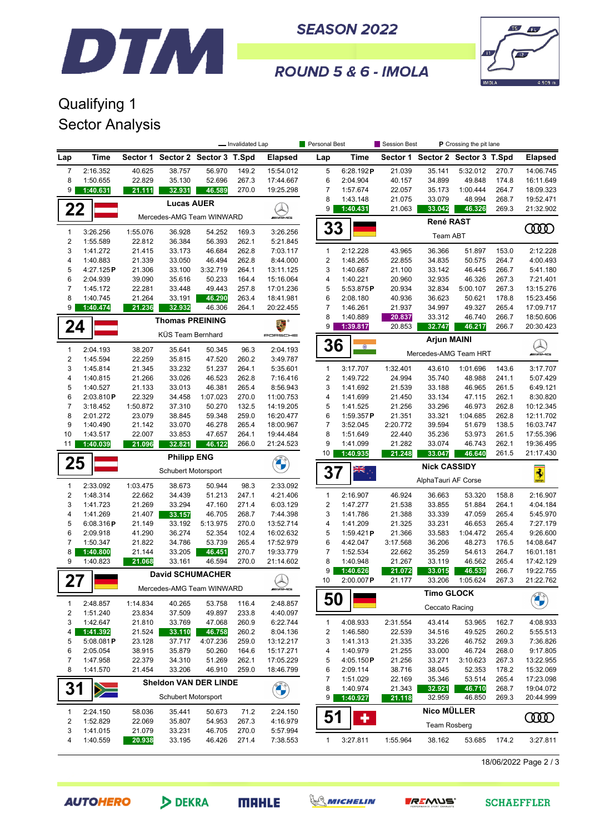

**SEASON 2022** 



ROUND 5 & 6 - IMOLA

## Qualifying 1 Sector Analysis

|                              |                      |                  |                            |                                  | - Invalidated Lap |                        | Personal Best  |                      | Session Best     |                     | P Crossing the pit lane          |                |                        |
|------------------------------|----------------------|------------------|----------------------------|----------------------------------|-------------------|------------------------|----------------|----------------------|------------------|---------------------|----------------------------------|----------------|------------------------|
| Lap                          | Time                 |                  |                            | Sector 1 Sector 2 Sector 3 T.Spd |                   | <b>Elapsed</b>         | Lap            | Time                 |                  |                     | Sector 1 Sector 2 Sector 3 T.Spd |                | <b>Elapsed</b>         |
| $\overline{7}$               | 2:16.352             | 40.625           | 38.757                     | 56.970                           | 149.2             | 15:54.012              | 5              | 6:28.192P            | 21.039           | 35.141              | 5:32.012                         | 270.7          | 14:06.745              |
| 8                            | 1:50.655             | 22.829           | 35.130                     | 52.696                           | 267.3             | 17:44.667              | 6              | 2:04.904             | 40.157           | 34.899              | 49.848                           | 174.8          | 16:11.649              |
| 9                            | 1:40.631             | 21.111           | 32.931                     | 46.589                           | 270.0             | 19:25.298              | 7              | 1:57.674             | 22.057           | 35.173              | 1:00.444                         | 264.7          | 18:09.323              |
|                              |                      |                  | <b>Lucas AUER</b>          |                                  |                   |                        | 8              | 1:43.148             | 21.075           | 33.079              | 48.994                           | 268.7          | 19:52.471              |
| 22                           |                      |                  |                            | Mercedes-AMG Team WINWARD        |                   | <b>WENS</b>            | 9              | 1:40.431             | 21.063           | 33.042              | 46.326                           | 269.3          | 21:32.902              |
|                              |                      |                  |                            |                                  |                   |                        | 33             |                      |                  | René RAST           |                                  |                | <b>COOD</b>            |
| $\mathbf{1}$                 | 3:26.256             | 1:55.076         | 36.928                     | 54.252                           | 169.3             | 3:26.256               |                |                      |                  | Team ABT            |                                  |                |                        |
| $\boldsymbol{2}$<br>3        | 1:55.589<br>1:41.272 | 22.812<br>21.415 | 36.384<br>33.173           | 56.393<br>46.684                 | 262.1<br>262.8    | 5:21.845<br>7:03.117   | $\mathbf{1}$   | 2:12.228             | 43.965           | 36.366              | 51.897                           |                | 2:12.228               |
| 4                            | 1:40.883             | 21.339           | 33.050                     | 46.494                           | 262.8             | 8:44.000               | $\overline{c}$ | 1:48.265             | 22.855           | 34.835              | 50.575                           | 153.0<br>264.7 | 4:00.493               |
| 5                            | 4:27.125P            | 21.306           | 33.100                     | 3:32.719                         | 264.1             | 13:11.125              | 3              | 1:40.687             | 21.100           | 33.142              | 46.445                           | 266.7          | 5:41.180               |
| 6                            | 2:04.939             | 39.090           | 35.616                     | 50.233                           | 164.4             | 15:16.064              | 4              | 1:40.221             | 20.960           | 32.935              | 46.326                           | 267.3          | 7:21.401               |
| 7                            | 1:45.172             | 22.281           | 33.448                     | 49.443                           | 257.8             | 17:01.236              | 5              | 5:53.875P            | 20.934           | 32.834              | 5:00.107                         | 267.3          | 13:15.276              |
| 8                            | 1:40.745             | 21.264           | 33.191                     | 46.290                           | 263.4             | 18:41.981              | 6              | 2:08.180             | 40.936           | 36.623              | 50.621                           | 178.8          | 15:23.456              |
| 9                            | 1:40.474             | 21.236           | 32.932                     | 46.306                           | 264.1             | 20:22.455              | 7              | 1:46.261             | 21.937           | 34.997              | 49.327                           | 265.4          | 17:09.717              |
|                              |                      |                  | <b>Thomas PREINING</b>     |                                  |                   |                        | 8              | 1:40.889             | 20.837           | 33.312              | 46.740                           | 266.7          | 18:50.606              |
| 24                           |                      |                  | KÜS Team Bernhard          |                                  |                   | PORSCHE                | 9              | 1:39.817             | 20.853           | 32.747              | 46.217                           | 266.7          | 20:30.423              |
|                              |                      |                  |                            |                                  |                   |                        | 36             | $^{\circ}$           |                  | <b>Arjun MAINI</b>  |                                  |                |                        |
| 1                            | 2:04.193             | 38.207           | 35.641                     | 50.345                           | 96.3              | 2:04.193               |                |                      |                  |                     | Mercedes-AMG Team HRT            |                | <i><b>MILENE</b></i>   |
| $\overline{\mathbf{c}}$<br>3 | 1:45.594             | 22.259<br>21.345 | 35.815                     | 47.520<br>51.237                 | 260.2             | 3:49.787<br>5:35.601   | $\mathbf{1}$   |                      | 1:32.401         |                     |                                  | 143.6          | 3:17.707               |
| 4                            | 1:45.814<br>1:40.815 | 21.266           | 33.232<br>33.026           | 46.523                           | 264.1<br>262.8    | 7:16.416               | 2              | 3:17.707<br>1:49.722 | 24.994           | 43.610<br>35.740    | 1:01.696<br>48.988               | 241.1          | 5:07.429               |
| 5                            | 1:40.527             | 21.133           | 33.013                     | 46.381                           | 265.4             | 8:56.943               | 3              | 1:41.692             | 21.539           | 33.188              | 46.965                           | 261.5          | 6:49.121               |
| 6                            | 2:03.810P            | 22.329           | 34.458                     | 1:07.023                         | 270.0             | 11:00.753              | 4              | 1:41.699             | 21.450           | 33.134              | 47.115                           | 262.1          | 8:30.820               |
| $\overline{7}$               | 3:18.452             | 1:50.872         | 37.310                     | 50.270                           | 132.5             | 14:19.205              | 5              | 1:41.525             | 21.256           | 33.296              | 46.973                           | 262.8          | 10:12.345              |
| 8                            | 2:01.272             | 23.079           | 38.845                     | 59.348                           | 259.0             | 16:20.477              | 6              | $1:59.357$ P         | 21.351           | 33.321              | 1:04.685                         | 262.8          | 12:11.702              |
| 9                            | 1:40.490             | 21.142           | 33.070                     | 46.278                           | 265.4             | 18:00.967              | 7              | 3:52.045             | 2:20.772         | 39.594              | 51.679                           | 138.5          | 16:03.747              |
| 10                           | 1:43.517             | 22.007           | 33.853                     | 47.657                           | 264.1             | 19:44.484              | 8              | 1:51.649             | 22.440           | 35.236              | 53.973                           | 261.5          | 17:55.396              |
| 11                           | 1:40.039             | 21.096           | 32.821                     | 46.122                           | 266.0             | 21:24.523              | 9              | 1:41.099             | 21.282           | 33.074              | 46.743                           | 262.1          | 19:36.495              |
| 25                           |                      |                  | <b>Philipp ENG</b>         |                                  |                   |                        | 10             | 1:40.935             | 21.248           | 33.047              | 46.640                           | 261.5          | 21:17.430              |
|                              |                      |                  | <b>Schubert Motorsport</b> |                                  |                   |                        | 37             |                      |                  | <b>Nick CASSIDY</b> |                                  |                | $\frac{1}{2}$          |
| 1                            | 2:33.092             | 1:03.475         | 38.673                     | 50.944                           | 98.3              | 2:33.092               |                |                      |                  | AlphaTauri AF Corse |                                  |                |                        |
| $\overline{\mathbf{c}}$      | 1:48.314             | 22.662           | 34.439                     | 51.213                           | 247.1             | 4:21.406               | 1              | 2:16.907             | 46.924           | 36.663              | 53.320                           | 158.8          | 2:16.907               |
| 3                            | 1:41.723             | 21.269           | 33.294                     | 47.160                           | 271.4             | 6:03.129               | 2              | 1:47.277             | 21.538           | 33.855              | 51.884                           | 264.1          | 4:04.184               |
| 4                            | 1:41.269             | 21.407           | 33.157                     | 46.705                           | 268.7             | 7:44.398               | 3              | 1:41.786             | 21.388           | 33.339              | 47.059                           | 265.4          | 5:45.970               |
| 5                            | 6:08.316P            | 21.149           | 33.192                     | 5:13.975                         | 270.0             | 13:52.714              | 4              | 1:41.209             | 21.325           | 33.231              | 46.653                           | 265.4          | 7:27.179               |
| 6                            | 2:09.918             | 41.290           | 36.274                     | 52.354                           | 102.4             | 16:02.632              | 5              | 1:59.421 $P$         | 21.366           | 33.583              | 1:04.472                         | 265.4          | 9:26.600               |
| $\overline{7}$               | 1:50.347             | 21.822           | 34.786                     | 53.739                           | 265.4             | 17:52.979<br>19:33.779 | 6              | 4:42.047             | 3:17.568         | 36.206              | 48.273                           | 176.5<br>264.7 | 14:08.647              |
| 8<br>9                       | 1:40.800<br>1:40.823 | 21.144<br>21.068 | 33.205<br>33.161           | 46.451<br>46.594                 | 270.7<br>270.0    | 21:14.602              | 7<br>8         | 1:52.534<br>1:40.948 | 22.662<br>21.267 | 35.259<br>33.119    | 54.613<br>46.562                 | 265.4          | 16:01.181<br>17:42.129 |
|                              |                      |                  |                            |                                  |                   |                        | 9              | 1:40.626             | 21.072           | 33.015              | 46.539                           | 266.7          | 19:22.755              |
| $\boldsymbol{c}$             | 7                    |                  |                            | <b>David SCHUMACHER</b>          |                   |                        | 10             | 2:00.007P            | 21.177           | 33.206              | 1:05.624                         | 267.3          | 21:22.762              |
| - 1                          |                      |                  |                            | Mercedes-AMG Team WINWARD        |                   | <b><i>SUNI</i>FINE</b> |                |                      |                  | <b>Timo GLOCK</b>   |                                  |                |                        |
| 1                            | 2:48.857             | 1:14.834         | 40.265                     | 53.758                           | 116.4             | 2:48.857               | 50             |                      |                  |                     |                                  |                |                        |
| 2                            | 1:51.240             | 23.834           | 37.509                     | 49.897                           | 233.8             | 4:40.097               |                |                      |                  | Ceccato Racing      |                                  |                |                        |
| 3                            | 1:42.647             | 21.810           | 33.769                     | 47.068                           | 260.9             | 6:22.744               | 1              | 4:08.933             | 2:31.554         | 43.414              | 53.965                           | 162.7          | 4:08.933               |
| 4                            | 1:41.392             | 21.524           | 33.110                     | 46.758                           | 260.2             | 8:04.136               | 2              | 1:46.580             | 22.539           | 34.516              | 49.525                           | 260.2          | 5:55.513               |
| 5                            | 5:08.081P            | 23.128           | 37.717                     | 4:07.236                         | 259.0             | 13:12.217              | 3              | 1:41.313             | 21.335           | 33.226              | 46.752                           | 269.3          | 7:36.826               |
| 6                            | 2:05.054             | 38.915           | 35.879                     | 50.260                           | 164.6             | 15:17.271              | 4              | 1:40.979             | 21.255           | 33.000              | 46.724                           | 268.0          | 9:17.805               |
| 7                            | 1:47.958             | 22.379           | 34.310                     | 51.269                           | 262.1             | 17:05.229              | 5              | 4:05.150P            | 21.256           | 33.271              | 3:10.623<br>52.353               | 267.3          | 13:22.955              |
| 8                            | 1:41.570             | 21.454           | 33.206                     | 46.910                           | 259.0             | 18:46.799              | 6<br>7         | 2:09.114<br>1:51.029 | 38.716<br>22.169 | 38.045<br>35.346    | 53.514                           | 178.2<br>265.4 | 15:32.069<br>17:23.098 |
| 31                           |                      |                  |                            | <b>Sheldon VAN DER LINDE</b>     |                   | <b>CARGO</b>           | 8              | 1:40.974             | 21.343           | 32.921              | 46.710                           | 268.7          | 19:04.072              |
|                              | $\geq$               |                  | <b>Schubert Motorsport</b> |                                  |                   |                        | 9              | 1:40.927             | 21.118           | 32.959              | 46.850                           | 269.3          | 20:44.999              |
| 1                            | 2:24.150             | 58.036           | 35.441                     | 50.673                           | 71.2              | 2:24.150               |                |                      |                  | Nico MÜLLER         |                                  |                |                        |
| $\overline{\mathbf{c}}$      | 1:52.829             | 22.069           | 35.807                     | 54.953                           | 267.3             | 4:16.979               | 51             | ٠                    |                  |                     |                                  |                | Œ                      |
| 3                            | 1:41.015             | 21.079           | 33.231                     | 46.705                           | 270.0             | 5:57.994               |                |                      |                  | <b>Team Rosberg</b> |                                  |                |                        |
|                              | 1:40.559             | 20.938           | 33.195                     | 46.426                           | 271.4             | 7:38.553               | 1              | 3:27.811             | 1:55.964         | 38.162              | 53.685                           | 174.2          | 3:27.811               |

18/06/2022 Page 2 / 3

**AUTOHERO**